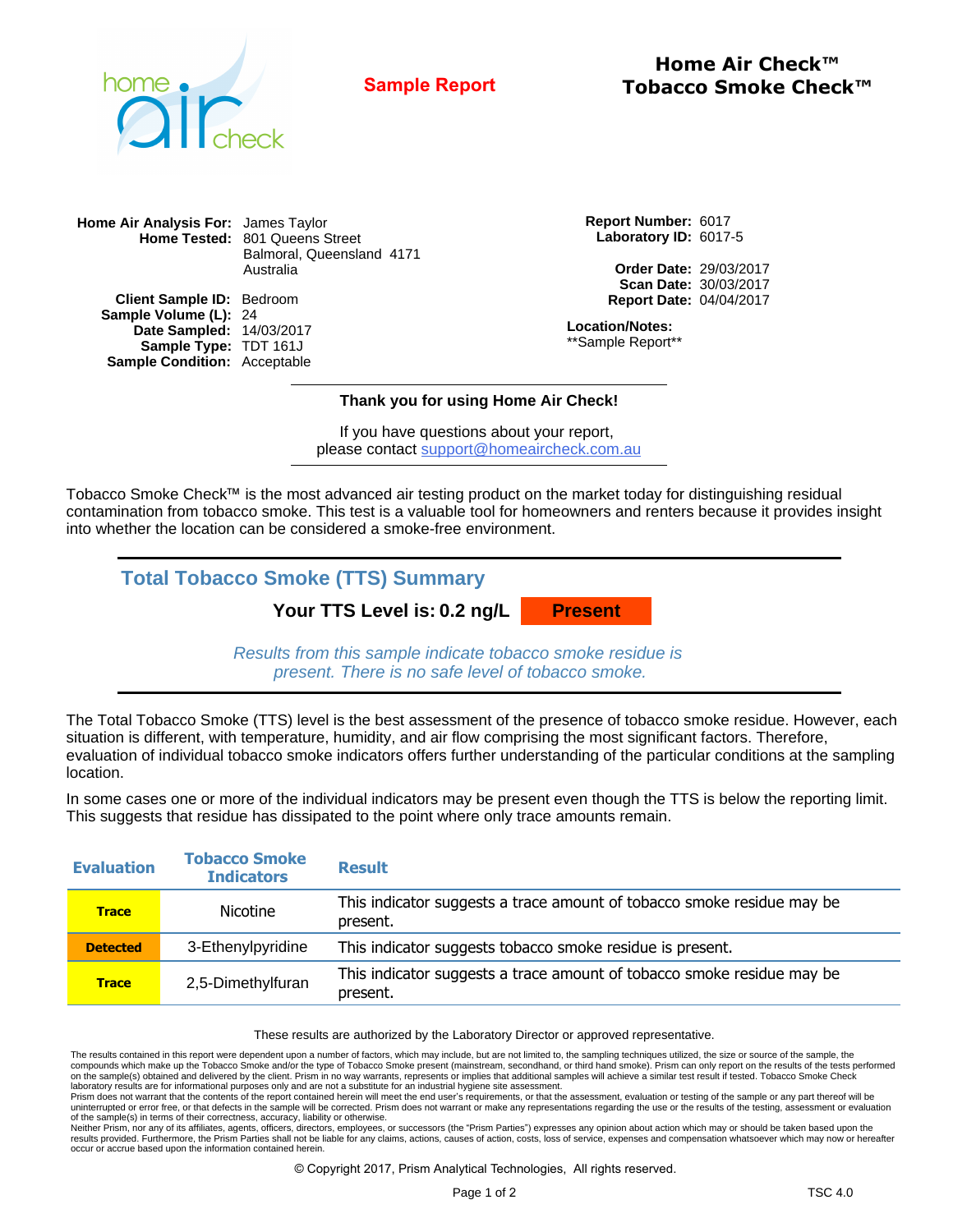

**Home Air Check™ Sample Report Tobacco Smoke Check™** 

**Home Air Analysis For:** James Taylor **Home Tested:** 801 Queens Street Balmoral, Queensland 4171 Australia

**Client Sample ID: Bedroom Sample Volume (L): 24** 14/03/2017 TDT 161J Sample Condition: Acceptable **Date Sampled: Sample Type:**

**Report Number:** 6017 **Laboratory ID:** 6017-5

> **Order Date:** 29/03/2017 **Scan Date:** 30/03/2017 **Report Date:** 04/04/2017

**Location/Notes:** \*\*Sample Report\*\*

## **Thank you for using Home Air Check!**

If you have questions about your report, please contact support@homeaircheck.com.au

Tobacco Smoke Check™ is the most advanced air testing product on the market today for distinguishing residual contamination from tobacco smoke. This test is a valuable tool for homeowners and renters because it provides insight into whether the location can be considered a smoke-free environment.

**Total Tobacco Smoke (TTS) Summary**

**Your TTS Level is: 0.2 ng/L**

**Present**

Results from this sample indicate tobacco smoke residue is present. There is no safe level of tobacco smoke.

The Total Tobacco Smoke (TTS) level is the best assessment of the presence of tobacco smoke residue. However, each situation is different, with temperature, humidity, and air flow comprising the most significant factors. Therefore, evaluation of individual tobacco smoke indicators offers further understanding of the particular conditions at the sampling location.

In some cases one or more of the individual indicators may be present even though the TTS is below the reporting limit. This suggests that residue has dissipated to the point where only trace amounts remain.

| <b>Evaluation</b> | <b>Tobacco Smoke</b><br><b>Indicators</b> | <b>Result</b>                                                                      |
|-------------------|-------------------------------------------|------------------------------------------------------------------------------------|
| <b>Trace</b>      | <b>Nicotine</b>                           | This indicator suggests a trace amount of tobacco smoke residue may be<br>present. |
| <b>Detected</b>   | 3-Ethenylpyridine                         | This indicator suggests tobacco smoke residue is present.                          |
| <b>Trace</b>      | 2,5-Dimethylfuran                         | This indicator suggests a trace amount of tobacco smoke residue may be<br>present. |

These results are authorized by the Laboratory Director or approved representative.

Neither Prism, nor any of its affiliates, agents, officers, directors, employees, or successors (the "Prism Parties") expresses any opinion about action which may or should be taken based upon the<br>results provided. Further occur or accrue based upon the information contained herein.

© Copyright 2017, Prism Analytical Technologies, All rights reserved.

The results contained in this report were dependent upon a number of factors, which may include, but are not limited to, the sampling techniques utilized, the size or source of the sample, the compounds which make up the Tobacco Smoke and/or the type of Tobacco Smoke present (mainstream, secondhand, or third hand smoke). Prism can only report on the results of the tests performed on the sample(s) obtained and delivered by the client. Prism in no way warrants, represents or implies that additional samples will achieve a similar test result if tested. Tobacco Smoke Check laboratory results are for informational purposes only and are not a substitute for an industrial hygiene site assessment.<br>Prism does not warrant that the contents of the report contained herein will meet the end user's re

uninterrupted or error free, or that defects in the sample will be corrected. Prism does not warrant or make any representations regarding the use or the results of the testing, assessment or evaluation of the sample(s) in terms of their correctness, accuracy, liability or otherwise.